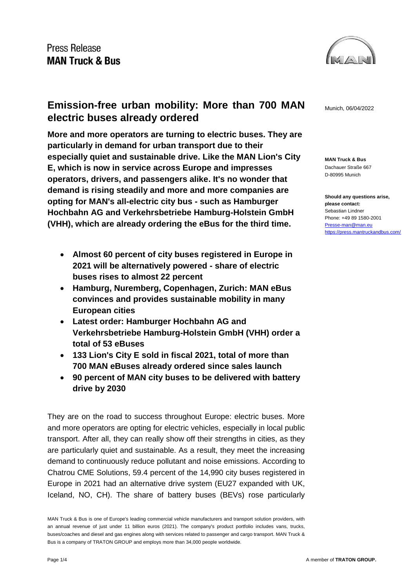

**Emission-free urban mobility: More than 700 MAN** Munich, 06/04/2022 **electric buses already ordered**

**More and more operators are turning to electric buses. They are particularly in demand for urban transport due to their especially quiet and sustainable drive. Like the MAN Lion's City E, which is now in service across Europe and impresses operators, drivers, and passengers alike. It's no wonder that demand is rising steadily and more and more companies are opting for MAN's all-electric city bus - such as Hamburger Hochbahn AG and Verkehrsbetriebe Hamburg-Holstein GmbH (VHH), which are already ordering the eBus for the third time.**

- **Almost 60 percent of city buses registered in Europe in 2021 will be alternatively powered - share of electric buses rises to almost 22 percent**
- **Hamburg, Nuremberg, Copenhagen, Zurich: MAN eBus convinces and provides sustainable mobility in many European cities**
- **Latest order: Hamburger Hochbahn AG and Verkehrsbetriebe Hamburg-Holstein GmbH (VHH) order a total of 53 eBuses**
- **133 Lion's City E sold in fiscal 2021, total of more than 700 MAN eBuses already ordered since sales launch**
- **90 percent of MAN city buses to be delivered with battery drive by 2030**

They are on the road to success throughout Europe: electric buses. More and more operators are opting for electric vehicles, especially in local public transport. After all, they can really show off their strengths in cities, as they are particularly quiet and sustainable. As a result, they meet the increasing demand to continuously reduce pollutant and noise emissions. According to Chatrou CME Solutions, 59.4 percent of the 14,990 city buses registered in Europe in 2021 had an alternative drive system (EU27 expanded with UK, Iceland, NO, CH). The share of battery buses (BEVs) rose particularly

**MAN Truck & Bus** Dachauer Straße 667 D-80995 Munich

**Should any questions arise, please contact:** Sebastian Lindner Phone: +49 89 1580-2001 [Presse-man@man.eu](mailto:Presse-man@man.eu) <https://press.mantruckandbus.com/>

MAN Truck & Bus is one of Europe's leading commercial vehicle manufacturers and transport solution providers, with an annual revenue of just under 11 billion euros (2021). The company's product portfolio includes vans, trucks, buses/coaches and diesel and gas engines along with services related to passenger and cargo transport. MAN Truck & Bus is a company of TRATON GROUP and employs more than 34,000 people worldwide.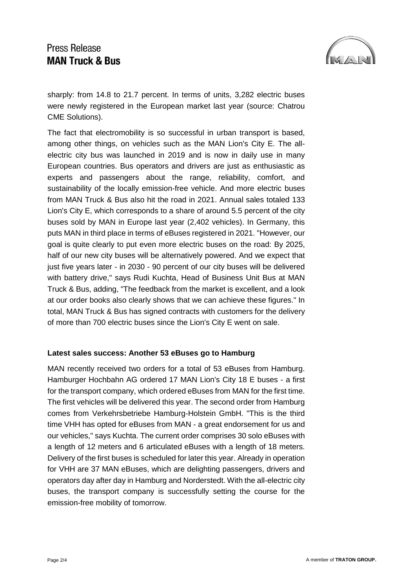# **Press Release MAN Truck & Bus**



sharply: from 14.8 to 21.7 percent. In terms of units, 3,282 electric buses were newly registered in the European market last year (source: Chatrou CME Solutions).

The fact that electromobility is so successful in urban transport is based, among other things, on vehicles such as the MAN Lion's City E. The allelectric city bus was launched in 2019 and is now in daily use in many European countries. Bus operators and drivers are just as enthusiastic as experts and passengers about the range, reliability, comfort, and sustainability of the locally emission-free vehicle. And more electric buses from MAN Truck & Bus also hit the road in 2021. Annual sales totaled 133 Lion's City E, which corresponds to a share of around 5.5 percent of the city buses sold by MAN in Europe last year (2,402 vehicles). In Germany, this puts MAN in third place in terms of eBuses registered in 2021. "However, our goal is quite clearly to put even more electric buses on the road: By 2025, half of our new city buses will be alternatively powered. And we expect that just five years later - in 2030 - 90 percent of our city buses will be delivered with battery drive," says Rudi Kuchta, Head of Business Unit Bus at MAN Truck & Bus, adding, "The feedback from the market is excellent, and a look at our order books also clearly shows that we can achieve these figures." In total, MAN Truck & Bus has signed contracts with customers for the delivery of more than 700 electric buses since the Lion's City E went on sale.

### **Latest sales success: Another 53 eBuses go to Hamburg**

MAN recently received two orders for a total of 53 eBuses from Hamburg. Hamburger Hochbahn AG ordered 17 MAN Lion's City 18 E buses - a first for the transport company, which ordered eBuses from MAN for the first time. The first vehicles will be delivered this year. The second order from Hamburg comes from Verkehrsbetriebe Hamburg-Holstein GmbH. "This is the third time VHH has opted for eBuses from MAN - a great endorsement for us and our vehicles," says Kuchta. The current order comprises 30 solo eBuses with a length of 12 meters and 6 articulated eBuses with a length of 18 meters. Delivery of the first buses is scheduled for later this year. Already in operation for VHH are 37 MAN eBuses, which are delighting passengers, drivers and operators day after day in Hamburg and Norderstedt. With the all-electric city buses, the transport company is successfully setting the course for the emission-free mobility of tomorrow.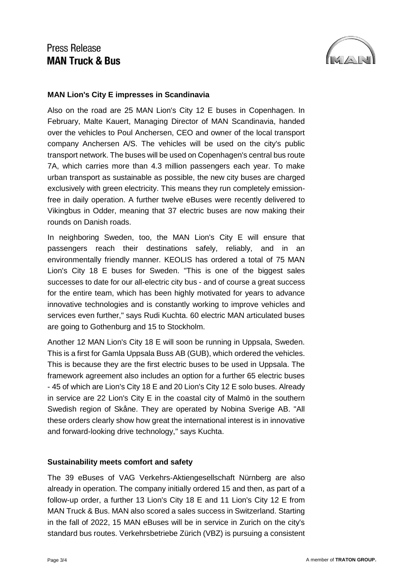# **Press Release MAN Truck & Bus**



### **MAN Lion's City E impresses in Scandinavia**

Also on the road are 25 MAN Lion's City 12 E buses in Copenhagen. In February, Malte Kauert, Managing Director of MAN Scandinavia, handed over the vehicles to Poul Anchersen, CEO and owner of the local transport company Anchersen A/S. The vehicles will be used on the city's public transport network. The buses will be used on Copenhagen's central bus route 7A, which carries more than 4.3 million passengers each year. To make urban transport as sustainable as possible, the new city buses are charged exclusively with green electricity. This means they run completely emissionfree in daily operation. A further twelve eBuses were recently delivered to Vikingbus in Odder, meaning that 37 electric buses are now making their rounds on Danish roads.

In neighboring Sweden, too, the MAN Lion's City E will ensure that passengers reach their destinations safely, reliably, and in an environmentally friendly manner. KEOLIS has ordered a total of 75 MAN Lion's City 18 E buses for Sweden. "This is one of the biggest sales successes to date for our all-electric city bus - and of course a great success for the entire team, which has been highly motivated for years to advance innovative technologies and is constantly working to improve vehicles and services even further," says Rudi Kuchta. 60 electric MAN articulated buses are going to Gothenburg and 15 to Stockholm.

Another 12 MAN Lion's City 18 E will soon be running in Uppsala, Sweden. This is a first for Gamla Uppsala Buss AB (GUB), which ordered the vehicles. This is because they are the first electric buses to be used in Uppsala. The framework agreement also includes an option for a further 65 electric buses - 45 of which are Lion's City 18 E and 20 Lion's City 12 E solo buses. Already in service are 22 Lion's City E in the coastal city of Malmö in the southern Swedish region of Skåne. They are operated by Nobina Sverige AB. "All these orders clearly show how great the international interest is in innovative and forward-looking drive technology," says Kuchta.

### **Sustainability meets comfort and safety**

The 39 eBuses of VAG Verkehrs-Aktiengesellschaft Nürnberg are also already in operation. The company initially ordered 15 and then, as part of a follow-up order, a further 13 Lion's City 18 E and 11 Lion's City 12 E from MAN Truck & Bus. MAN also scored a sales success in Switzerland. Starting in the fall of 2022, 15 MAN eBuses will be in service in Zurich on the city's standard bus routes. Verkehrsbetriebe Zürich (VBZ) is pursuing a consistent